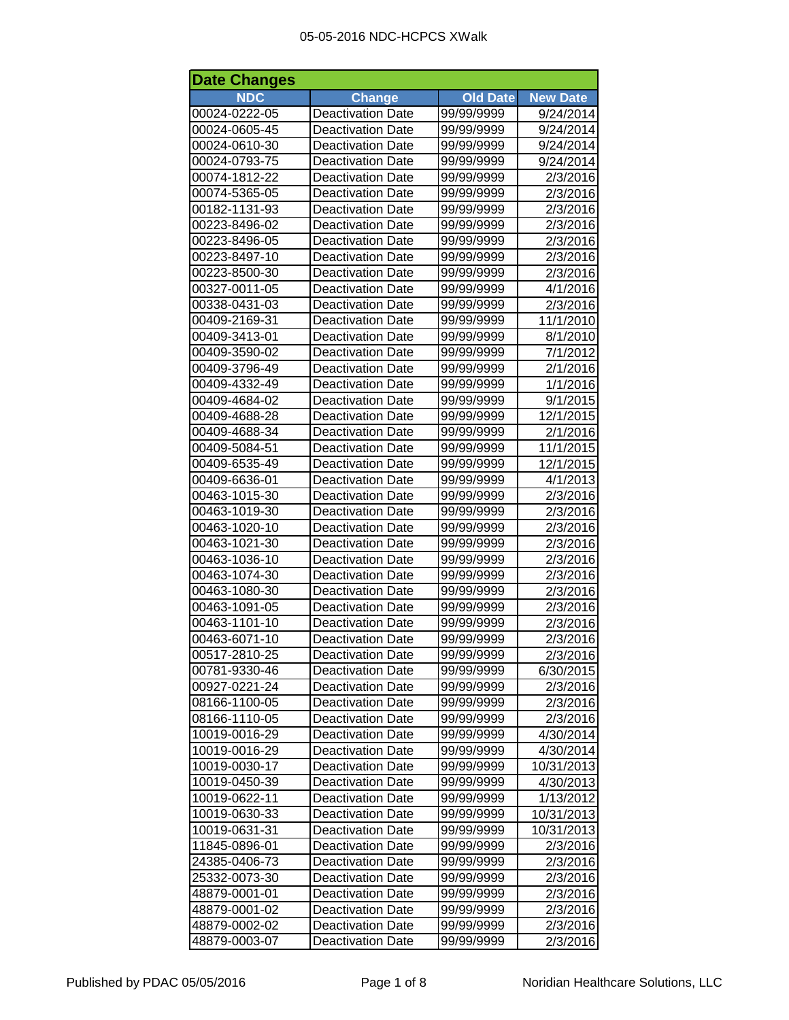| <b>Date Changes</b> |                          |                 |                 |
|---------------------|--------------------------|-----------------|-----------------|
| <b>NDC</b>          | <b>Change</b>            | <b>Old Date</b> | <b>New Date</b> |
| 00024-0222-05       | Deactivation Date        | 99/99/9999      | 9/24/2014       |
| 00024-0605-45       | <b>Deactivation Date</b> | 99/99/9999      | 9/24/2014       |
| 00024-0610-30       | <b>Deactivation Date</b> | 99/99/9999      | 9/24/2014       |
| 00024-0793-75       | <b>Deactivation Date</b> | 99/99/9999      | 9/24/2014       |
| 00074-1812-22       | <b>Deactivation Date</b> | 99/99/9999      | 2/3/2016        |
| 00074-5365-05       | <b>Deactivation Date</b> | 99/99/9999      | 2/3/2016        |
| 00182-1131-93       | <b>Deactivation Date</b> | 99/99/9999      | 2/3/2016        |
| 00223-8496-02       | <b>Deactivation Date</b> | 99/99/9999      | 2/3/2016        |
| 00223-8496-05       | <b>Deactivation Date</b> | 99/99/9999      | 2/3/2016        |
| 00223-8497-10       | <b>Deactivation Date</b> | 99/99/9999      | 2/3/2016        |
| 00223-8500-30       | <b>Deactivation Date</b> | 99/99/9999      | 2/3/2016        |
| 00327-0011-05       | <b>Deactivation Date</b> | 99/99/9999      | 4/1/2016        |
| 00338-0431-03       | <b>Deactivation Date</b> | 99/99/9999      | 2/3/2016        |
| 00409-2169-31       | <b>Deactivation Date</b> | 99/99/9999      | 11/1/2010       |
| 00409-3413-01       | <b>Deactivation Date</b> | 99/99/9999      | 8/1/2010        |
| 00409-3590-02       | <b>Deactivation Date</b> | 99/99/9999      | 7/1/2012        |
| 00409-3796-49       | <b>Deactivation Date</b> | 99/99/9999      | 2/1/2016        |
| 00409-4332-49       | <b>Deactivation Date</b> | 99/99/9999      | 1/1/2016        |
| 00409-4684-02       | <b>Deactivation Date</b> | 99/99/9999      | 9/1/2015        |
| 00409-4688-28       | <b>Deactivation Date</b> | 99/99/9999      | 12/1/2015       |
| 00409-4688-34       | <b>Deactivation Date</b> | 99/99/9999      | 2/1/2016        |
| 00409-5084-51       | <b>Deactivation Date</b> | 99/99/9999      | 11/1/2015       |
| 00409-6535-49       | <b>Deactivation Date</b> | 99/99/9999      | 12/1/2015       |
| 00409-6636-01       | <b>Deactivation Date</b> | 99/99/9999      | 4/1/2013        |
| 00463-1015-30       | <b>Deactivation Date</b> | 99/99/9999      | 2/3/2016        |
| 00463-1019-30       | <b>Deactivation Date</b> | 99/99/9999      | 2/3/2016        |
| 00463-1020-10       | <b>Deactivation Date</b> | 99/99/9999      | 2/3/2016        |
| 00463-1021-30       | <b>Deactivation Date</b> | 99/99/9999      | 2/3/2016        |
| 00463-1036-10       | <b>Deactivation Date</b> | 99/99/9999      | 2/3/2016        |
| 00463-1074-30       | <b>Deactivation Date</b> | 99/99/9999      | 2/3/2016        |
| 00463-1080-30       | <b>Deactivation Date</b> | 99/99/9999      | 2/3/2016        |
| 00463-1091-05       | <b>Deactivation Date</b> | 99/99/9999      | 2/3/2016        |
| 00463-1101-10       | <b>Deactivation Date</b> | 99/99/9999      | 2/3/2016        |
| 00463-6071-10       | <b>Deactivation Date</b> | 99/99/9999      | 2/3/2016        |
| 00517-2810-25       | <b>Deactivation Date</b> | 99/99/9999      | 2/3/2016        |
| 00781-9330-46       | <b>Deactivation Date</b> | 99/99/9999      | 6/30/2015       |
| 00927-0221-24       | <b>Deactivation Date</b> | 99/99/9999      | 2/3/2016        |
| 08166-1100-05       | <b>Deactivation Date</b> | 99/99/9999      | 2/3/2016        |
| 08166-1110-05       | <b>Deactivation Date</b> | 99/99/9999      | 2/3/2016        |
| 10019-0016-29       | <b>Deactivation Date</b> | 99/99/9999      | 4/30/2014       |
| 10019-0016-29       | <b>Deactivation Date</b> | 99/99/9999      | 4/30/2014       |
| 10019-0030-17       | <b>Deactivation Date</b> | 99/99/9999      | 10/31/2013      |
| 10019-0450-39       | <b>Deactivation Date</b> | 99/99/9999      | 4/30/2013       |
| 10019-0622-11       | <b>Deactivation Date</b> | 99/99/9999      | 1/13/2012       |
| 10019-0630-33       | <b>Deactivation Date</b> | 99/99/9999      | 10/31/2013      |
| 10019-0631-31       | <b>Deactivation Date</b> | 99/99/9999      | 10/31/2013      |
| 11845-0896-01       | Deactivation Date        | 99/99/9999      | 2/3/2016        |
| 24385-0406-73       | <b>Deactivation Date</b> | 99/99/9999      | 2/3/2016        |
| 25332-0073-30       | <b>Deactivation Date</b> | 99/99/9999      | 2/3/2016        |
| 48879-0001-01       | <b>Deactivation Date</b> | 99/99/9999      | 2/3/2016        |
| 48879-0001-02       | <b>Deactivation Date</b> | 99/99/9999      | 2/3/2016        |
| 48879-0002-02       | <b>Deactivation Date</b> | 99/99/9999      | 2/3/2016        |
| 48879-0003-07       | <b>Deactivation Date</b> | 99/99/9999      | 2/3/2016        |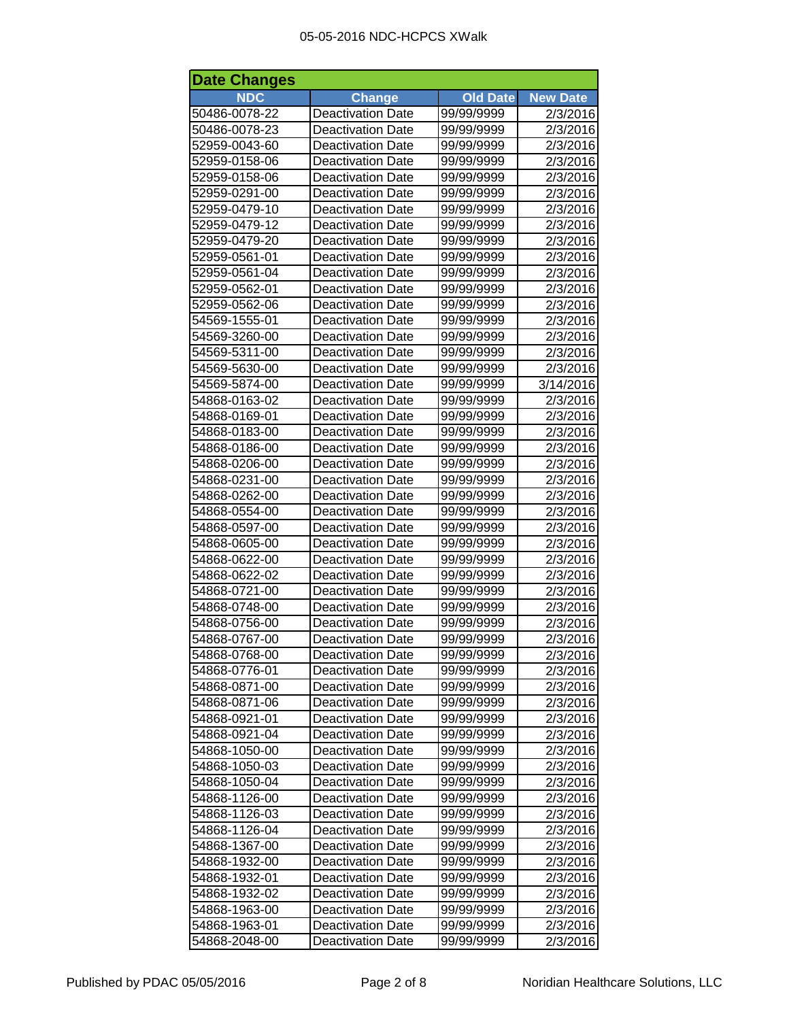| <b>Date Changes</b> |                          |                 |                 |
|---------------------|--------------------------|-----------------|-----------------|
| <b>NDC</b>          | <b>Change</b>            | <b>Old Date</b> | <b>New Date</b> |
| 50486-0078-22       | <b>Deactivation Date</b> | 99/99/9999      | 2/3/2016        |
| 50486-0078-23       | <b>Deactivation Date</b> | 99/99/9999      | 2/3/2016        |
| 52959-0043-60       | <b>Deactivation Date</b> | 99/99/9999      | 2/3/2016        |
| 52959-0158-06       | <b>Deactivation Date</b> | 99/99/9999      | 2/3/2016        |
| 52959-0158-06       | <b>Deactivation Date</b> | 99/99/9999      | 2/3/2016        |
| 52959-0291-00       | <b>Deactivation Date</b> | 99/99/9999      | 2/3/2016        |
| 52959-0479-10       | <b>Deactivation Date</b> | 99/99/9999      | 2/3/2016        |
| 52959-0479-12       | <b>Deactivation Date</b> | 99/99/9999      | 2/3/2016        |
| 52959-0479-20       | <b>Deactivation Date</b> | 99/99/9999      | 2/3/2016        |
| 52959-0561-01       | <b>Deactivation Date</b> | 99/99/9999      | 2/3/2016        |
| 52959-0561-04       | <b>Deactivation Date</b> | 99/99/9999      | 2/3/2016        |
| 52959-0562-01       | <b>Deactivation Date</b> | 99/99/9999      | 2/3/2016        |
| 52959-0562-06       | <b>Deactivation Date</b> | 99/99/9999      | 2/3/2016        |
| 54569-1555-01       | <b>Deactivation Date</b> | 99/99/9999      | 2/3/2016        |
| 54569-3260-00       | <b>Deactivation Date</b> | 99/99/9999      | 2/3/2016        |
| 54569-5311-00       | <b>Deactivation Date</b> | 99/99/9999      | 2/3/2016        |
| 54569-5630-00       | <b>Deactivation Date</b> | 99/99/9999      | 2/3/2016        |
| 54569-5874-00       | <b>Deactivation Date</b> | 99/99/9999      | 3/14/2016       |
| 54868-0163-02       | <b>Deactivation Date</b> | 99/99/9999      | 2/3/2016        |
| 54868-0169-01       | <b>Deactivation Date</b> | 99/99/9999      | 2/3/2016        |
| 54868-0183-00       | <b>Deactivation Date</b> | 99/99/9999      | 2/3/2016        |
| 54868-0186-00       | <b>Deactivation Date</b> | 99/99/9999      | 2/3/2016        |
| 54868-0206-00       | <b>Deactivation Date</b> | 99/99/9999      | 2/3/2016        |
| 54868-0231-00       | <b>Deactivation Date</b> | 99/99/9999      | 2/3/2016        |
| 54868-0262-00       | <b>Deactivation Date</b> | 99/99/9999      | 2/3/2016        |
| 54868-0554-00       | <b>Deactivation Date</b> | 99/99/9999      | 2/3/2016        |
| 54868-0597-00       | <b>Deactivation Date</b> | 99/99/9999      | 2/3/2016        |
| 54868-0605-00       | <b>Deactivation Date</b> | 99/99/9999      | 2/3/2016        |
| 54868-0622-00       | <b>Deactivation Date</b> | 99/99/9999      | 2/3/2016        |
| 54868-0622-02       | <b>Deactivation Date</b> | 99/99/9999      | 2/3/2016        |
| 54868-0721-00       | <b>Deactivation Date</b> | 99/99/9999      | 2/3/2016        |
| 54868-0748-00       | <b>Deactivation Date</b> | 99/99/9999      | 2/3/2016        |
| 54868-0756-00       | <b>Deactivation Date</b> | 99/99/9999      | 2/3/2016        |
| 54868-0767-00       | <b>Deactivation Date</b> | 99/99/9999      | 2/3/2016        |
| 54868-0768-00       | <b>Deactivation Date</b> | 99/99/9999      | 2/3/2016        |
| 54868-0776-01       | <b>Deactivation Date</b> | 99/99/9999      | 2/3/2016        |
| 54868-0871-00       | <b>Deactivation Date</b> | 99/99/9999      | 2/3/2016        |
| 54868-0871-06       | <b>Deactivation Date</b> | 99/99/9999      | 2/3/2016        |
| 54868-0921-01       | <b>Deactivation Date</b> | 99/99/9999      | 2/3/2016        |
| 54868-0921-04       | <b>Deactivation Date</b> | 99/99/9999      | 2/3/2016        |
| 54868-1050-00       | <b>Deactivation Date</b> | 99/99/9999      | 2/3/2016        |
| 54868-1050-03       | <b>Deactivation Date</b> | 99/99/9999      | 2/3/2016        |
| 54868-1050-04       | <b>Deactivation Date</b> | 99/99/9999      | 2/3/2016        |
| 54868-1126-00       | <b>Deactivation Date</b> | 99/99/9999      | 2/3/2016        |
| 54868-1126-03       | <b>Deactivation Date</b> | 99/99/9999      | 2/3/2016        |
| 54868-1126-04       | <b>Deactivation Date</b> | 99/99/9999      | 2/3/2016        |
| 54868-1367-00       | <b>Deactivation Date</b> | 99/99/9999      | 2/3/2016        |
| 54868-1932-00       | <b>Deactivation Date</b> | 99/99/9999      | 2/3/2016        |
| 54868-1932-01       | <b>Deactivation Date</b> | 99/99/9999      | 2/3/2016        |
| 54868-1932-02       | <b>Deactivation Date</b> | 99/99/9999      | 2/3/2016        |
| 54868-1963-00       | <b>Deactivation Date</b> | 99/99/9999      | 2/3/2016        |
| 54868-1963-01       | <b>Deactivation Date</b> | 99/99/9999      | 2/3/2016        |
| 54868-2048-00       | <b>Deactivation Date</b> | 99/99/9999      | 2/3/2016        |
|                     |                          |                 |                 |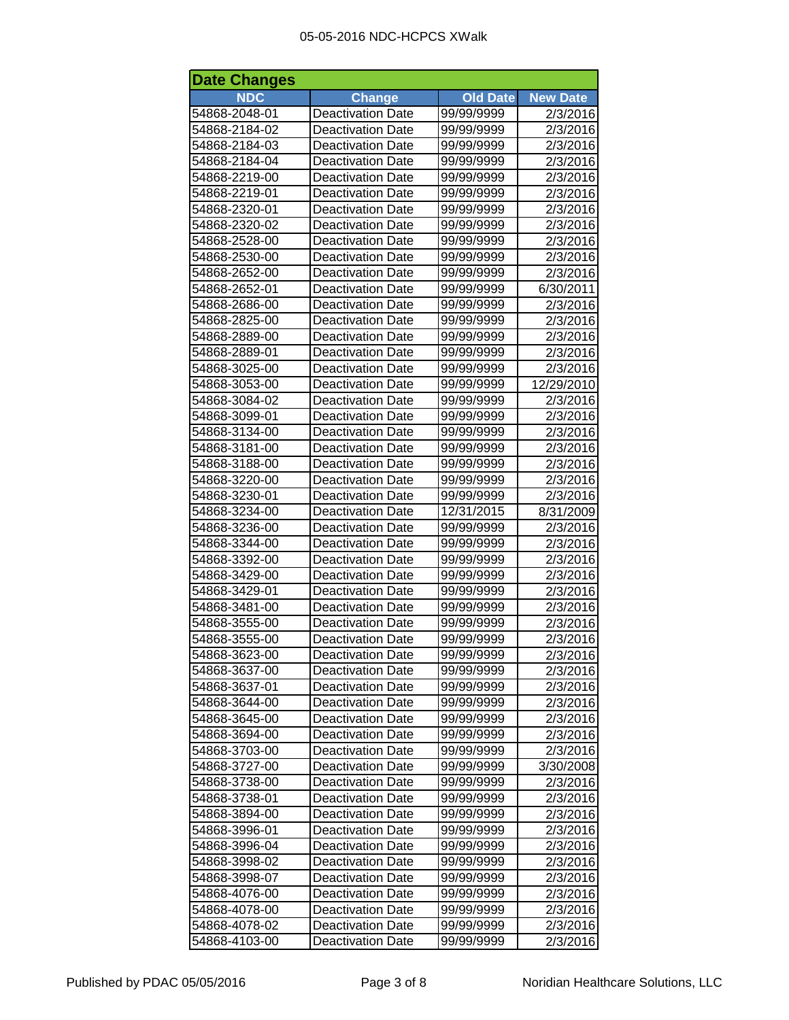| <b>Date Changes</b> |                          |                 |                 |
|---------------------|--------------------------|-----------------|-----------------|
| <b>NDC</b>          | <b>Change</b>            | <b>Old Date</b> | <b>New Date</b> |
| 54868-2048-01       | <b>Deactivation Date</b> | 99/99/9999      | 2/3/2016        |
| 54868-2184-02       | <b>Deactivation Date</b> | 99/99/9999      | 2/3/2016        |
| 54868-2184-03       | <b>Deactivation Date</b> | 99/99/9999      | 2/3/2016        |
| 54868-2184-04       | <b>Deactivation Date</b> | 99/99/9999      | 2/3/2016        |
| 54868-2219-00       | <b>Deactivation Date</b> | 99/99/9999      | 2/3/2016        |
| 54868-2219-01       | <b>Deactivation Date</b> | 99/99/9999      | 2/3/2016        |
| 54868-2320-01       | <b>Deactivation Date</b> | 99/99/9999      | 2/3/2016        |
| 54868-2320-02       | <b>Deactivation Date</b> | 99/99/9999      | 2/3/2016        |
| 54868-2528-00       | <b>Deactivation Date</b> | 99/99/9999      | 2/3/2016        |
| 54868-2530-00       | <b>Deactivation Date</b> | 99/99/9999      | 2/3/2016        |
| 54868-2652-00       | <b>Deactivation Date</b> | 99/99/9999      | 2/3/2016        |
| 54868-2652-01       | <b>Deactivation Date</b> | 99/99/9999      | 6/30/2011       |
| 54868-2686-00       | <b>Deactivation Date</b> | 99/99/9999      | 2/3/2016        |
| 54868-2825-00       | <b>Deactivation Date</b> | 99/99/9999      | 2/3/2016        |
| 54868-2889-00       | <b>Deactivation Date</b> | 99/99/9999      | 2/3/2016        |
| 54868-2889-01       | <b>Deactivation Date</b> | 99/99/9999      | 2/3/2016        |
| 54868-3025-00       | <b>Deactivation Date</b> | 99/99/9999      | 2/3/2016        |
| 54868-3053-00       | <b>Deactivation Date</b> | 99/99/9999      | 12/29/2010      |
| 54868-3084-02       | <b>Deactivation Date</b> | 99/99/9999      | 2/3/2016        |
| 54868-3099-01       | <b>Deactivation Date</b> | 99/99/9999      | 2/3/2016        |
| 54868-3134-00       | <b>Deactivation Date</b> | 99/99/9999      | 2/3/2016        |
| 54868-3181-00       | <b>Deactivation Date</b> | 99/99/9999      | 2/3/2016        |
| 54868-3188-00       | <b>Deactivation Date</b> | 99/99/9999      | 2/3/2016        |
| 54868-3220-00       | <b>Deactivation Date</b> | 99/99/9999      | 2/3/2016        |
| 54868-3230-01       | <b>Deactivation Date</b> | 99/99/9999      | 2/3/2016        |
| 54868-3234-00       | <b>Deactivation Date</b> | 12/31/2015      | 8/31/2009       |
| 54868-3236-00       | <b>Deactivation Date</b> | 99/99/9999      | 2/3/2016        |
| 54868-3344-00       | <b>Deactivation Date</b> | 99/99/9999      | 2/3/2016        |
| 54868-3392-00       | <b>Deactivation Date</b> | 99/99/9999      | 2/3/2016        |
| 54868-3429-00       | <b>Deactivation Date</b> | 99/99/9999      | 2/3/2016        |
| 54868-3429-01       | <b>Deactivation Date</b> | 99/99/9999      | 2/3/2016        |
| 54868-3481-00       | <b>Deactivation Date</b> | 99/99/9999      | 2/3/2016        |
| 54868-3555-00       | <b>Deactivation Date</b> | 99/99/9999      | 2/3/2016        |
| 54868-3555-00       | <b>Deactivation Date</b> | 99/99/9999      | 2/3/2016        |
| 54868-3623-00       | <b>Deactivation Date</b> | 99/99/9999      | 2/3/2016        |
| 54868-3637-00       | <b>Deactivation Date</b> | 99/99/9999      | 2/3/2016        |
| 54868-3637-01       | <b>Deactivation Date</b> | 99/99/9999      | 2/3/2016        |
| 54868-3644-00       | <b>Deactivation Date</b> | 99/99/9999      | 2/3/2016        |
| 54868-3645-00       | <b>Deactivation Date</b> | 99/99/9999      | 2/3/2016        |
| 54868-3694-00       | <b>Deactivation Date</b> | 99/99/9999      | 2/3/2016        |
| 54868-3703-00       | <b>Deactivation Date</b> | 99/99/9999      | 2/3/2016        |
| 54868-3727-00       | <b>Deactivation Date</b> | 99/99/9999      | 3/30/2008       |
| 54868-3738-00       | <b>Deactivation Date</b> | 99/99/9999      | 2/3/2016        |
| 54868-3738-01       | <b>Deactivation Date</b> | 99/99/9999      | 2/3/2016        |
| 54868-3894-00       | <b>Deactivation Date</b> | 99/99/9999      | 2/3/2016        |
| 54868-3996-01       | <b>Deactivation Date</b> | 99/99/9999      | 2/3/2016        |
| 54868-3996-04       | <b>Deactivation Date</b> | 99/99/9999      | 2/3/2016        |
| 54868-3998-02       | <b>Deactivation Date</b> | 99/99/9999      | 2/3/2016        |
| 54868-3998-07       | <b>Deactivation Date</b> | 99/99/9999      | 2/3/2016        |
| 54868-4076-00       | <b>Deactivation Date</b> | 99/99/9999      | 2/3/2016        |
| 54868-4078-00       | <b>Deactivation Date</b> | 99/99/9999      | 2/3/2016        |
| 54868-4078-02       | <b>Deactivation Date</b> | 99/99/9999      | 2/3/2016        |
| 54868-4103-00       | <b>Deactivation Date</b> | 99/99/9999      | 2/3/2016        |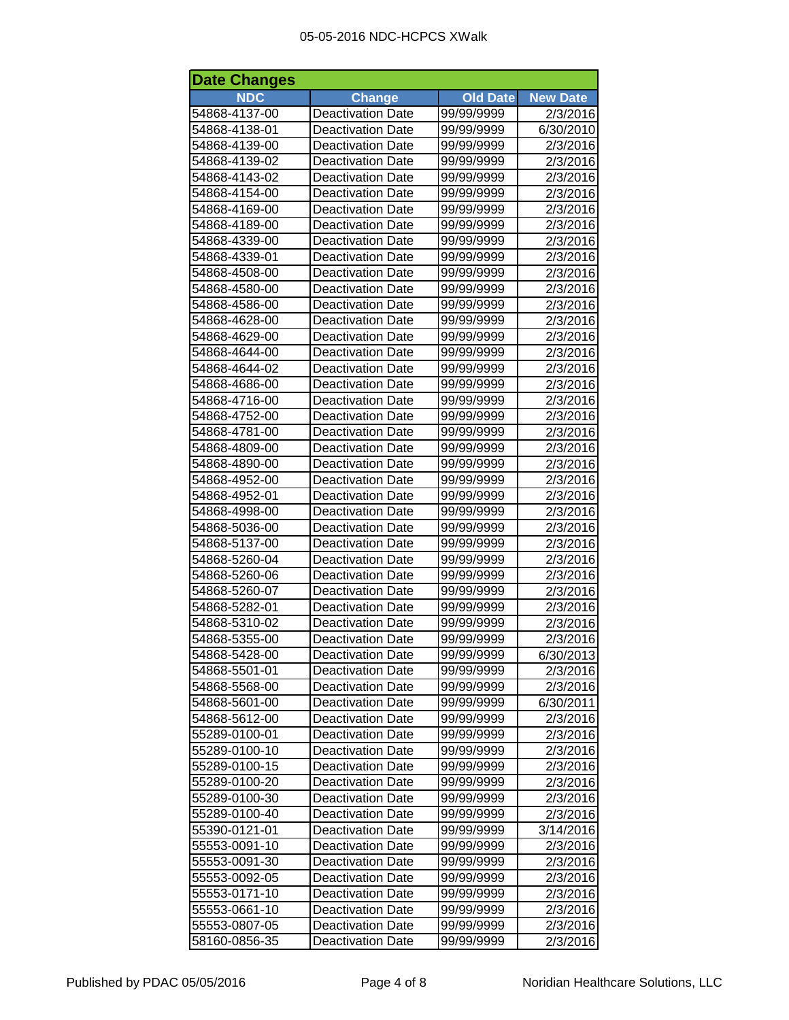| <b>Date Changes</b> |                          |                 |                 |
|---------------------|--------------------------|-----------------|-----------------|
| <b>NDC</b>          | <b>Change</b>            | <b>Old Date</b> | <b>New Date</b> |
| 54868-4137-00       | <b>Deactivation Date</b> | 99/99/9999      | 2/3/2016        |
| 54868-4138-01       | <b>Deactivation Date</b> | 99/99/9999      | 6/30/2010       |
| 54868-4139-00       | <b>Deactivation Date</b> | 99/99/9999      | 2/3/2016        |
| 54868-4139-02       | <b>Deactivation Date</b> | 99/99/9999      | 2/3/2016        |
| 54868-4143-02       | <b>Deactivation Date</b> | 99/99/9999      | 2/3/2016        |
| 54868-4154-00       | <b>Deactivation Date</b> | 99/99/9999      | 2/3/2016        |
| 54868-4169-00       | <b>Deactivation Date</b> | 99/99/9999      | 2/3/2016        |
| 54868-4189-00       | <b>Deactivation Date</b> | 99/99/9999      | 2/3/2016        |
| 54868-4339-00       | <b>Deactivation Date</b> | 99/99/9999      | 2/3/2016        |
| 54868-4339-01       | <b>Deactivation Date</b> | 99/99/9999      | 2/3/2016        |
| 54868-4508-00       | <b>Deactivation Date</b> | 99/99/9999      | 2/3/2016        |
| 54868-4580-00       | <b>Deactivation Date</b> | 99/99/9999      | 2/3/2016        |
| 54868-4586-00       | <b>Deactivation Date</b> | 99/99/9999      | 2/3/2016        |
| 54868-4628-00       | <b>Deactivation Date</b> | 99/99/9999      | 2/3/2016        |
| 54868-4629-00       | <b>Deactivation Date</b> | 99/99/9999      | 2/3/2016        |
| 54868-4644-00       | <b>Deactivation Date</b> | 99/99/9999      | 2/3/2016        |
| 54868-4644-02       | <b>Deactivation Date</b> | 99/99/9999      | 2/3/2016        |
| 54868-4686-00       | <b>Deactivation Date</b> | 99/99/9999      | 2/3/2016        |
| 54868-4716-00       | <b>Deactivation Date</b> | 99/99/9999      | 2/3/2016        |
| 54868-4752-00       | <b>Deactivation Date</b> | 99/99/9999      | 2/3/2016        |
| 54868-4781-00       | <b>Deactivation Date</b> | 99/99/9999      | 2/3/2016        |
| 54868-4809-00       | <b>Deactivation Date</b> | 99/99/9999      | 2/3/2016        |
| 54868-4890-00       | <b>Deactivation Date</b> | 99/99/9999      | 2/3/2016        |
| 54868-4952-00       | <b>Deactivation Date</b> | 99/99/9999      | 2/3/2016        |
| 54868-4952-01       | <b>Deactivation Date</b> | 99/99/9999      | 2/3/2016        |
| 54868-4998-00       | <b>Deactivation Date</b> | 99/99/9999      | 2/3/2016        |
| 54868-5036-00       | <b>Deactivation Date</b> | 99/99/9999      | 2/3/2016        |
| 54868-5137-00       | <b>Deactivation Date</b> | 99/99/9999      | 2/3/2016        |
| 54868-5260-04       | <b>Deactivation Date</b> | 99/99/9999      | 2/3/2016        |
| 54868-5260-06       | <b>Deactivation Date</b> | 99/99/9999      | 2/3/2016        |
| 54868-5260-07       | <b>Deactivation Date</b> | 99/99/9999      | 2/3/2016        |
| 54868-5282-01       | <b>Deactivation Date</b> | 99/99/9999      | 2/3/2016        |
| 54868-5310-02       | <b>Deactivation Date</b> | 99/99/9999      | 2/3/2016        |
| 54868-5355-00       | <b>Deactivation Date</b> | 99/99/9999      | 2/3/2016        |
| 54868-5428-00       | <b>Deactivation Date</b> | 99/99/9999      | 6/30/2013       |
| 54868-5501-01       | <b>Deactivation Date</b> | 99/99/9999      | 2/3/2016        |
| 54868-5568-00       | <b>Deactivation Date</b> | 99/99/9999      | 2/3/2016        |
| 54868-5601-00       | <b>Deactivation Date</b> | 99/99/9999      | 6/30/2011       |
| 54868-5612-00       | <b>Deactivation Date</b> | 99/99/9999      | 2/3/2016        |
| 55289-0100-01       | Deactivation Date        | 99/99/9999      | 2/3/2016        |
| 55289-0100-10       | <b>Deactivation Date</b> | 99/99/9999      | 2/3/2016        |
| 55289-0100-15       | <b>Deactivation Date</b> | 99/99/9999      | 2/3/2016        |
| 55289-0100-20       | <b>Deactivation Date</b> | 99/99/9999      | 2/3/2016        |
| 55289-0100-30       | <b>Deactivation Date</b> | 99/99/9999      | 2/3/2016        |
| 55289-0100-40       | <b>Deactivation Date</b> | 99/99/9999      | 2/3/2016        |
| 55390-0121-01       | <b>Deactivation Date</b> | 99/99/9999      | 3/14/2016       |
| 55553-0091-10       | <b>Deactivation Date</b> | 99/99/9999      | 2/3/2016        |
| 55553-0091-30       | <b>Deactivation Date</b> | 99/99/9999      | 2/3/2016        |
| 55553-0092-05       | <b>Deactivation Date</b> | 99/99/9999      | 2/3/2016        |
| 55553-0171-10       | <b>Deactivation Date</b> | 99/99/9999      | 2/3/2016        |
| 55553-0661-10       | <b>Deactivation Date</b> | 99/99/9999      | 2/3/2016        |
| 55553-0807-05       | <b>Deactivation Date</b> | 99/99/9999      | 2/3/2016        |
| 58160-0856-35       | <b>Deactivation Date</b> | 99/99/9999      | 2/3/2016        |
|                     |                          |                 |                 |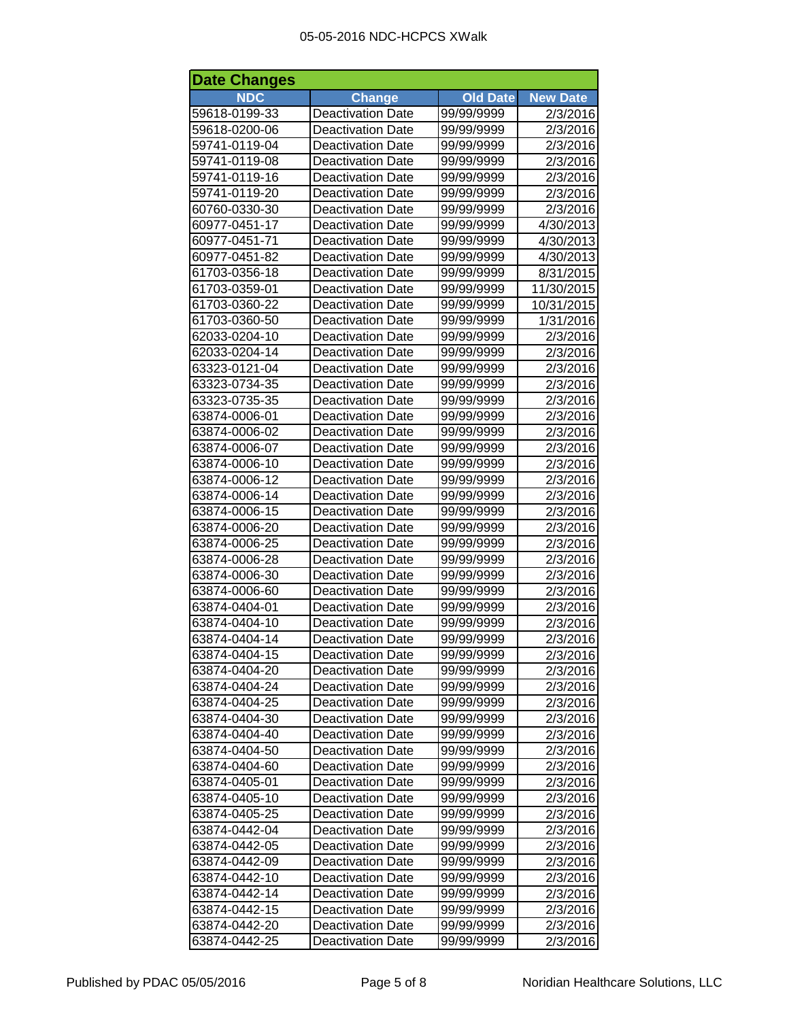| <b>Date Changes</b> |                          |                 |                 |
|---------------------|--------------------------|-----------------|-----------------|
| <b>NDC</b>          | <b>Change</b>            | <b>Old Date</b> | <b>New Date</b> |
| 59618-0199-33       | <b>Deactivation Date</b> | 99/99/9999      | 2/3/2016        |
| 59618-0200-06       | <b>Deactivation Date</b> | 99/99/9999      | 2/3/2016        |
| 59741-0119-04       | <b>Deactivation Date</b> | 99/99/9999      | 2/3/2016        |
| 59741-0119-08       | <b>Deactivation Date</b> | 99/99/9999      | 2/3/2016        |
| 59741-0119-16       | <b>Deactivation Date</b> | 99/99/9999      | 2/3/2016        |
| 59741-0119-20       | <b>Deactivation Date</b> | 99/99/9999      | 2/3/2016        |
| 60760-0330-30       | <b>Deactivation Date</b> | 99/99/9999      | 2/3/2016        |
| 60977-0451-17       | <b>Deactivation Date</b> | 99/99/9999      | 4/30/2013       |
| 60977-0451-71       | <b>Deactivation Date</b> | 99/99/9999      | 4/30/2013       |
| 60977-0451-82       | <b>Deactivation Date</b> | 99/99/9999      | 4/30/2013       |
| 61703-0356-18       | <b>Deactivation Date</b> | 99/99/9999      | 8/31/2015       |
| 61703-0359-01       | <b>Deactivation Date</b> | 99/99/9999      | 11/30/2015      |
| 61703-0360-22       | <b>Deactivation Date</b> | 99/99/9999      | 10/31/2015      |
| 61703-0360-50       | <b>Deactivation Date</b> | 99/99/9999      | 1/31/2016       |
| 62033-0204-10       | <b>Deactivation Date</b> | 99/99/9999      | 2/3/2016        |
| 62033-0204-14       | <b>Deactivation Date</b> | 99/99/9999      | 2/3/2016        |
| 63323-0121-04       | <b>Deactivation Date</b> | 99/99/9999      | 2/3/2016        |
| 63323-0734-35       | <b>Deactivation Date</b> | 99/99/9999      | 2/3/2016        |
| 63323-0735-35       | <b>Deactivation Date</b> | 99/99/9999      | 2/3/2016        |
| 63874-0006-01       | <b>Deactivation Date</b> | 99/99/9999      | 2/3/2016        |
| 63874-0006-02       | <b>Deactivation Date</b> | 99/99/9999      | 2/3/2016        |
| 63874-0006-07       | <b>Deactivation Date</b> | 99/99/9999      | 2/3/2016        |
| 63874-0006-10       | <b>Deactivation Date</b> | 99/99/9999      | 2/3/2016        |
| 63874-0006-12       | <b>Deactivation Date</b> | 99/99/9999      | 2/3/2016        |
| 63874-0006-14       | <b>Deactivation Date</b> | 99/99/9999      | 2/3/2016        |
| 63874-0006-15       | <b>Deactivation Date</b> | 99/99/9999      | 2/3/2016        |
| 63874-0006-20       | <b>Deactivation Date</b> | 99/99/9999      | 2/3/2016        |
| 63874-0006-25       | <b>Deactivation Date</b> | 99/99/9999      | 2/3/2016        |
| 63874-0006-28       | <b>Deactivation Date</b> | 99/99/9999      | 2/3/2016        |
| 63874-0006-30       | <b>Deactivation Date</b> | 99/99/9999      | 2/3/2016        |
| 63874-0006-60       | <b>Deactivation Date</b> | 99/99/9999      | 2/3/2016        |
| 63874-0404-01       | <b>Deactivation Date</b> | 99/99/9999      | 2/3/2016        |
| 63874-0404-10       | <b>Deactivation Date</b> | 99/99/9999      | 2/3/2016        |
| 63874-0404-14       | <b>Deactivation Date</b> | 99/99/9999      | 2/3/2016        |
| 63874-0404-15       | <b>Deactivation Date</b> | 99/99/9999      | 2/3/2016        |
| 63874-0404-20       | <b>Deactivation Date</b> | 99/99/9999      | 2/3/2016        |
| 63874-0404-24       | <b>Deactivation Date</b> | 99/99/9999      | 2/3/2016        |
| 63874-0404-25       | <b>Deactivation Date</b> | 99/99/9999      | 2/3/2016        |
| 63874-0404-30       | Deactivation Date        | 99/99/9999      | 2/3/2016        |
| 63874-0404-40       | <b>Deactivation Date</b> | 99/99/9999      | 2/3/2016        |
| 63874-0404-50       | <b>Deactivation Date</b> | 99/99/9999      | 2/3/2016        |
| 63874-0404-60       | <b>Deactivation Date</b> | 99/99/9999      | 2/3/2016        |
| 63874-0405-01       | <b>Deactivation Date</b> | 99/99/9999      | 2/3/2016        |
| 63874-0405-10       | <b>Deactivation Date</b> | 99/99/9999      | 2/3/2016        |
| 63874-0405-25       | <b>Deactivation Date</b> | 99/99/9999      | 2/3/2016        |
| 63874-0442-04       | <b>Deactivation Date</b> | 99/99/9999      | 2/3/2016        |
| 63874-0442-05       | <b>Deactivation Date</b> | 99/99/9999      | 2/3/2016        |
| 63874-0442-09       | <b>Deactivation Date</b> | 99/99/9999      | 2/3/2016        |
| 63874-0442-10       | <b>Deactivation Date</b> | 99/99/9999      | 2/3/2016        |
| 63874-0442-14       | <b>Deactivation Date</b> | 99/99/9999      | 2/3/2016        |
| 63874-0442-15       | <b>Deactivation Date</b> | 99/99/9999      | 2/3/2016        |
| 63874-0442-20       | <b>Deactivation Date</b> | 99/99/9999      | 2/3/2016        |
| 63874-0442-25       | <b>Deactivation Date</b> | 99/99/9999      | 2/3/2016        |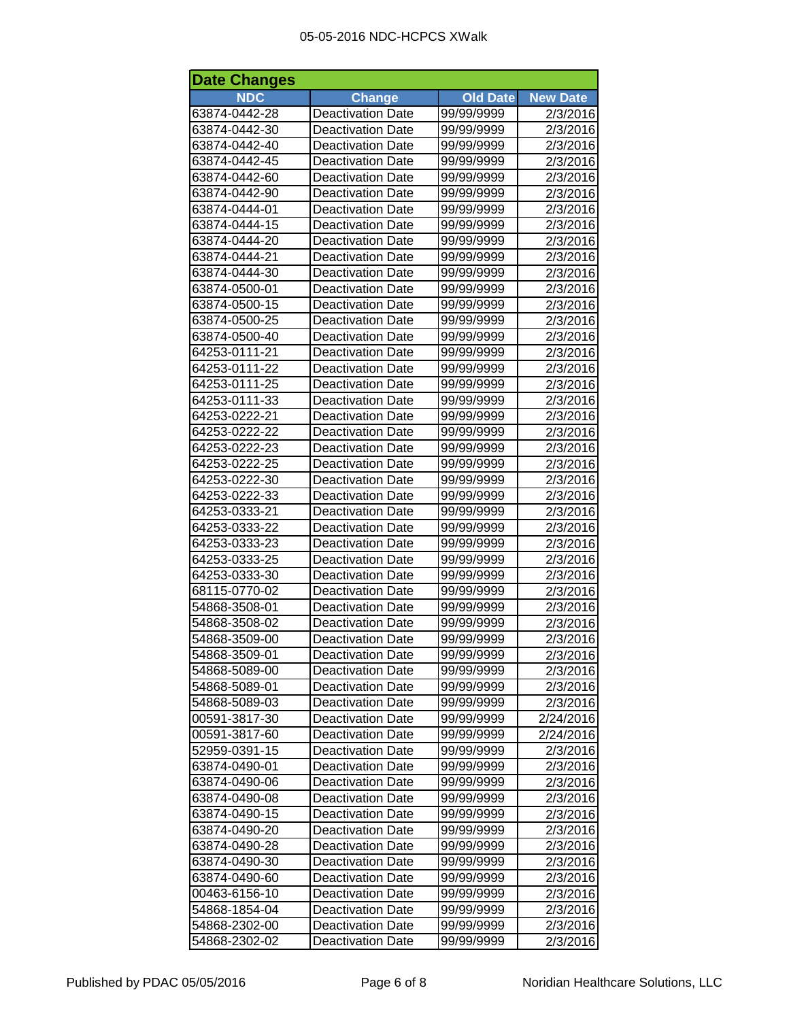| <b>Date Changes</b> |                          |                 |                 |
|---------------------|--------------------------|-----------------|-----------------|
| <b>NDC</b>          | <b>Change</b>            | <b>Old Date</b> | <b>New Date</b> |
| 63874-0442-28       | Deactivation Date        | 99/99/9999      | 2/3/2016        |
| 63874-0442-30       | <b>Deactivation Date</b> | 99/99/9999      | 2/3/2016        |
| 63874-0442-40       | <b>Deactivation Date</b> | 99/99/9999      | 2/3/2016        |
| 63874-0442-45       | <b>Deactivation Date</b> | 99/99/9999      | 2/3/2016        |
| 63874-0442-60       | <b>Deactivation Date</b> | 99/99/9999      | 2/3/2016        |
| 63874-0442-90       | <b>Deactivation Date</b> | 99/99/9999      | 2/3/2016        |
| 63874-0444-01       | <b>Deactivation Date</b> | 99/99/9999      | 2/3/2016        |
| 63874-0444-15       | <b>Deactivation Date</b> | 99/99/9999      | 2/3/2016        |
| 63874-0444-20       | <b>Deactivation Date</b> | 99/99/9999      | 2/3/2016        |
| 63874-0444-21       | <b>Deactivation Date</b> | 99/99/9999      | 2/3/2016        |
| 63874-0444-30       | <b>Deactivation Date</b> | 99/99/9999      | 2/3/2016        |
| 63874-0500-01       | <b>Deactivation Date</b> | 99/99/9999      | 2/3/2016        |
| 63874-0500-15       | <b>Deactivation Date</b> | 99/99/9999      | 2/3/2016        |
| 63874-0500-25       | <b>Deactivation Date</b> | 99/99/9999      | 2/3/2016        |
| 63874-0500-40       | <b>Deactivation Date</b> | 99/99/9999      | 2/3/2016        |
| 64253-0111-21       | <b>Deactivation Date</b> | 99/99/9999      | 2/3/2016        |
| 64253-0111-22       | <b>Deactivation Date</b> | 99/99/9999      | 2/3/2016        |
| 64253-0111-25       | <b>Deactivation Date</b> | 99/99/9999      | 2/3/2016        |
| 64253-0111-33       | <b>Deactivation Date</b> | 99/99/9999      | 2/3/2016        |
| 64253-0222-21       | <b>Deactivation Date</b> | 99/99/9999      | 2/3/2016        |
| 64253-0222-22       | <b>Deactivation Date</b> | 99/99/9999      | 2/3/2016        |
| 64253-0222-23       | <b>Deactivation Date</b> | 99/99/9999      | 2/3/2016        |
| 64253-0222-25       | <b>Deactivation Date</b> | 99/99/9999      | 2/3/2016        |
| 64253-0222-30       | <b>Deactivation Date</b> | 99/99/9999      | 2/3/2016        |
| 64253-0222-33       | <b>Deactivation Date</b> | 99/99/9999      | 2/3/2016        |
| 64253-0333-21       | <b>Deactivation Date</b> | 99/99/9999      | 2/3/2016        |
| 64253-0333-22       | <b>Deactivation Date</b> | 99/99/9999      | 2/3/2016        |
| 64253-0333-23       | <b>Deactivation Date</b> | 99/99/9999      | 2/3/2016        |
| 64253-0333-25       | <b>Deactivation Date</b> | 99/99/9999      | 2/3/2016        |
| 64253-0333-30       | <b>Deactivation Date</b> | 99/99/9999      | 2/3/2016        |
| 68115-0770-02       | <b>Deactivation Date</b> | 99/99/9999      | 2/3/2016        |
| 54868-3508-01       | <b>Deactivation Date</b> | 99/99/9999      | 2/3/2016        |
| 54868-3508-02       | <b>Deactivation Date</b> | 99/99/9999      | 2/3/2016        |
| 54868-3509-00       | <b>Deactivation Date</b> | 99/99/9999      | 2/3/2016        |
| 54868-3509-01       | <b>Deactivation Date</b> | 99/99/9999      | 2/3/2016        |
| 54868-5089-00       | <b>Deactivation Date</b> | 99/99/9999      | 2/3/2016        |
| 54868-5089-01       | <b>Deactivation Date</b> | 99/99/9999      | 2/3/2016        |
| 54868-5089-03       | <b>Deactivation Date</b> | 99/99/9999      | 2/3/2016        |
| 00591-3817-30       | <b>Deactivation Date</b> | 99/99/9999      | 2/24/2016       |
| 00591-3817-60       | <b>Deactivation Date</b> | 99/99/9999      | 2/24/2016       |
| 52959-0391-15       | <b>Deactivation Date</b> | 99/99/9999      | 2/3/2016        |
| 63874-0490-01       | <b>Deactivation Date</b> | 99/99/9999      | 2/3/2016        |
| 63874-0490-06       | <b>Deactivation Date</b> | 99/99/9999      | 2/3/2016        |
| 63874-0490-08       | <b>Deactivation Date</b> | 99/99/9999      | 2/3/2016        |
| 63874-0490-15       | <b>Deactivation Date</b> | 99/99/9999      | 2/3/2016        |
| 63874-0490-20       | <b>Deactivation Date</b> | 99/99/9999      | 2/3/2016        |
| 63874-0490-28       | Deactivation Date        | 99/99/9999      | 2/3/2016        |
| 63874-0490-30       | <b>Deactivation Date</b> | 99/99/9999      | 2/3/2016        |
| 63874-0490-60       | <b>Deactivation Date</b> | 99/99/9999      | 2/3/2016        |
| 00463-6156-10       | <b>Deactivation Date</b> | 99/99/9999      | 2/3/2016        |
| 54868-1854-04       | <b>Deactivation Date</b> | 99/99/9999      | 2/3/2016        |
| 54868-2302-00       | <b>Deactivation Date</b> | 99/99/9999      | 2/3/2016        |
| 54868-2302-02       | <b>Deactivation Date</b> | 99/99/9999      | 2/3/2016        |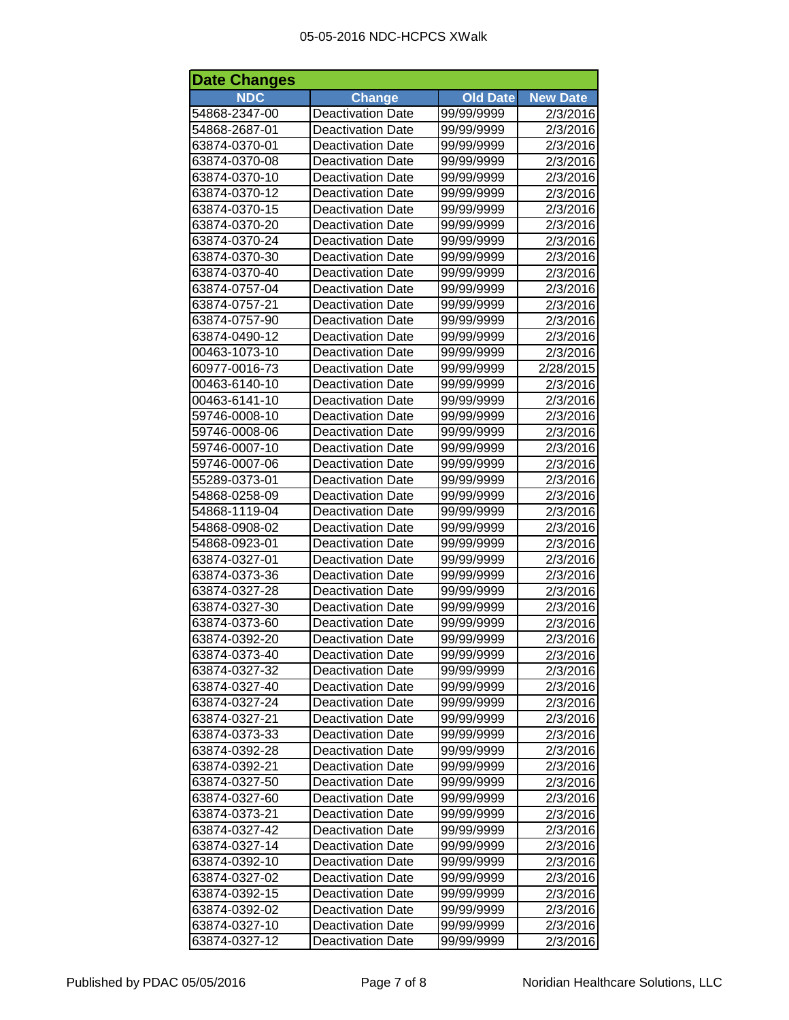## 05-05-2016 NDC-HCPCS XWalk

| <b>Date Changes</b> |                          |                 |                 |
|---------------------|--------------------------|-----------------|-----------------|
| <b>NDC</b>          | Change                   | <b>Old Date</b> | <b>New Date</b> |
| 54868-2347-00       | <b>Deactivation Date</b> | 99/99/9999      | 2/3/2016        |
| 54868-2687-01       | <b>Deactivation Date</b> | 99/99/9999      | 2/3/2016        |
| 63874-0370-01       | <b>Deactivation Date</b> | 99/99/9999      | 2/3/2016        |
| 63874-0370-08       | <b>Deactivation Date</b> | 99/99/9999      | 2/3/2016        |
| 63874-0370-10       | <b>Deactivation Date</b> | 99/99/9999      | 2/3/2016        |
| 63874-0370-12       | <b>Deactivation Date</b> | 99/99/9999      | 2/3/2016        |
| 63874-0370-15       | <b>Deactivation Date</b> | 99/99/9999      | 2/3/2016        |
| 63874-0370-20       | <b>Deactivation Date</b> | 99/99/9999      | 2/3/2016        |
| 63874-0370-24       | <b>Deactivation Date</b> | 99/99/9999      | 2/3/2016        |
| 63874-0370-30       | <b>Deactivation Date</b> | 99/99/9999      | 2/3/2016        |
| 63874-0370-40       | <b>Deactivation Date</b> | 99/99/9999      | 2/3/2016        |
| 63874-0757-04       | <b>Deactivation Date</b> | 99/99/9999      | 2/3/2016        |
| 63874-0757-21       | <b>Deactivation Date</b> | 99/99/9999      | 2/3/2016        |
| 63874-0757-90       | <b>Deactivation Date</b> | 99/99/9999      | 2/3/2016        |
| 63874-0490-12       | <b>Deactivation Date</b> | 99/99/9999      | 2/3/2016        |
| 00463-1073-10       | <b>Deactivation Date</b> | 99/99/9999      | 2/3/2016        |
| 60977-0016-73       | <b>Deactivation Date</b> | 99/99/9999      | 2/28/2015       |
| 00463-6140-10       | <b>Deactivation Date</b> | 99/99/9999      | 2/3/2016        |
| 00463-6141-10       | <b>Deactivation Date</b> | 99/99/9999      | 2/3/2016        |
| 59746-0008-10       | <b>Deactivation Date</b> | 99/99/9999      | 2/3/2016        |
| 59746-0008-06       | <b>Deactivation Date</b> | 99/99/9999      | 2/3/2016        |
| 59746-0007-10       | <b>Deactivation Date</b> | 99/99/9999      | 2/3/2016        |
| 59746-0007-06       | <b>Deactivation Date</b> | 99/99/9999      | 2/3/2016        |
| 55289-0373-01       | <b>Deactivation Date</b> | 99/99/9999      | 2/3/2016        |
| 54868-0258-09       | <b>Deactivation Date</b> | 99/99/9999      | 2/3/2016        |
| 54868-1119-04       | <b>Deactivation Date</b> | 99/99/9999      | 2/3/2016        |
| 54868-0908-02       | <b>Deactivation Date</b> | 99/99/9999      | 2/3/2016        |
| 54868-0923-01       | <b>Deactivation Date</b> | 99/99/9999      | 2/3/2016        |
| 63874-0327-01       | <b>Deactivation Date</b> | 99/99/9999      | 2/3/2016        |
| 63874-0373-36       | <b>Deactivation Date</b> | 99/99/9999      | 2/3/2016        |
| 63874-0327-28       | <b>Deactivation Date</b> | 99/99/9999      | 2/3/2016        |
| 63874-0327-30       | <b>Deactivation Date</b> | 99/99/9999      | 2/3/2016        |
| 63874-0373-60       | <b>Deactivation Date</b> | 99/99/9999      | 2/3/2016        |
| 63874-0392-20       | <b>Deactivation Date</b> | 99/99/9999      | 2/3/2016        |
| 63874-0373-40       | <b>Deactivation Date</b> | 99/99/9999      | 2/3/2016        |
| 63874-0327-32       | <b>Deactivation Date</b> | 99/99/9999      | 2/3/2016        |
| 63874-0327-40       | <b>Deactivation Date</b> | 99/99/9999      | 2/3/2016        |
| 63874-0327-24       | <b>Deactivation Date</b> | 99/99/9999      | 2/3/2016        |
| 63874-0327-21       | <b>Deactivation Date</b> | 99/99/9999      | 2/3/2016        |
| 63874-0373-33       | <b>Deactivation Date</b> | 99/99/9999      | 2/3/2016        |
| 63874-0392-28       | <b>Deactivation Date</b> | 99/99/9999      | 2/3/2016        |
| 63874-0392-21       | <b>Deactivation Date</b> | 99/99/9999      | 2/3/2016        |
| 63874-0327-50       | <b>Deactivation Date</b> | 99/99/9999      | 2/3/2016        |
| 63874-0327-60       | <b>Deactivation Date</b> | 99/99/9999      | 2/3/2016        |
| 63874-0373-21       | <b>Deactivation Date</b> | 99/99/9999      | 2/3/2016        |
| 63874-0327-42       | <b>Deactivation Date</b> | 99/99/9999      | 2/3/2016        |
| 63874-0327-14       | <b>Deactivation Date</b> | 99/99/9999      | 2/3/2016        |
| 63874-0392-10       | <b>Deactivation Date</b> | 99/99/9999      | 2/3/2016        |
| 63874-0327-02       | <b>Deactivation Date</b> | 99/99/9999      | 2/3/2016        |
| 63874-0392-15       | <b>Deactivation Date</b> | 99/99/9999      | 2/3/2016        |
| 63874-0392-02       | <b>Deactivation Date</b> | 99/99/9999      | 2/3/2016        |
| 63874-0327-10       | <b>Deactivation Date</b> | 99/99/9999      | 2/3/2016        |
| 63874-0327-12       | <b>Deactivation Date</b> | 99/99/9999      | 2/3/2016        |